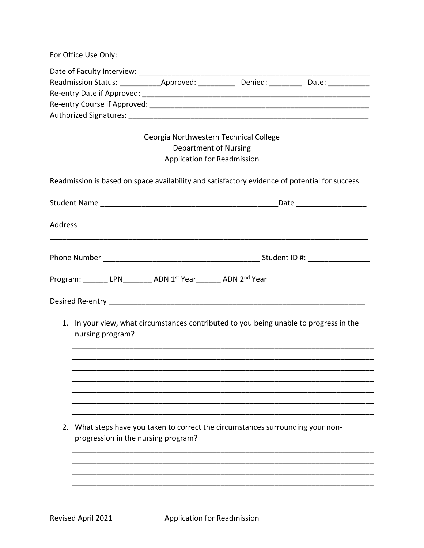For Office Use Only:

| Date of Faculty Interview:   |           |         |       |  |
|------------------------------|-----------|---------|-------|--|
| <b>Readmission Status:</b>   | Approved: | Denied: | Date: |  |
| Re-entry Date if Approved:   |           |         |       |  |
| Re-entry Course if Approved: |           |         |       |  |
| Authorized Signatures:       |           |         |       |  |

## Georgia Northwestern Technical College Department of Nursing Application for Readmission

Readmission is based on space availability and satisfactory evidence of potential for success

|         |                                                                                                                        |                                                               | _Date ______________________ |  |  |  |
|---------|------------------------------------------------------------------------------------------------------------------------|---------------------------------------------------------------|------------------------------|--|--|--|
| Address |                                                                                                                        |                                                               |                              |  |  |  |
|         |                                                                                                                        |                                                               |                              |  |  |  |
|         |                                                                                                                        | Program: _______ LPN________ ADN 1st Year_______ ADN 2nd Year |                              |  |  |  |
|         |                                                                                                                        |                                                               |                              |  |  |  |
|         | 1. In your view, what circumstances contributed to you being unable to progress in the<br>nursing program?             |                                                               |                              |  |  |  |
|         |                                                                                                                        |                                                               |                              |  |  |  |
|         |                                                                                                                        |                                                               |                              |  |  |  |
|         |                                                                                                                        |                                                               |                              |  |  |  |
|         |                                                                                                                        |                                                               |                              |  |  |  |
|         |                                                                                                                        |                                                               |                              |  |  |  |
|         | 2. What steps have you taken to correct the circumstances surrounding your non-<br>progression in the nursing program? |                                                               |                              |  |  |  |
|         |                                                                                                                        |                                                               |                              |  |  |  |
|         |                                                                                                                        |                                                               |                              |  |  |  |
|         |                                                                                                                        |                                                               |                              |  |  |  |